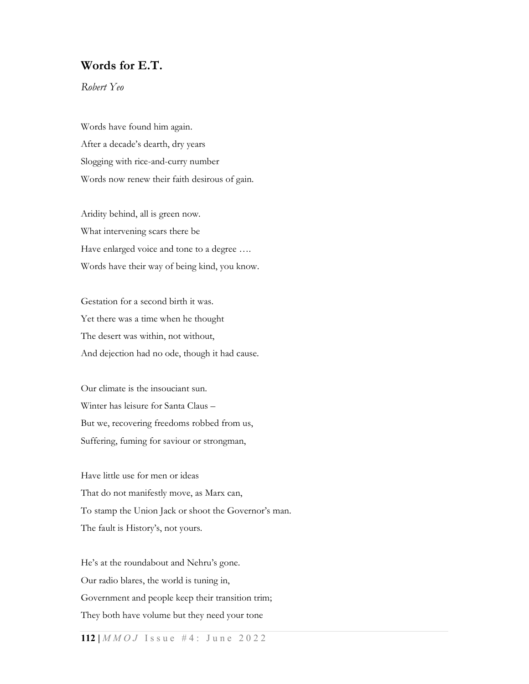## Words for E.T.

Robert Yeo

Words have found him again. After a decade's dearth, dry years Slogging with rice-and-curry number Words now renew their faith desirous of gain.

Aridity behind, all is green now. What intervening scars there be Have enlarged voice and tone to a degree .... Words have their way of being kind, you know.

Gestation for a second birth it was. Yet there was a time when he thought The desert was within, not without, And dejection had no ode, though it had cause.

Our climate is the insouciant sun. Winter has leisure for Santa Claus – But we, recovering freedoms robbed from us, Suffering, fuming for saviour or strongman,

Have little use for men or ideas That do not manifestly move, as Marx can, To stamp the Union Jack or shoot the Governor's man. The fault is History's, not yours.

He's at the roundabout and Nehru's gone. Our radio blares, the world is tuning in, Government and people keep their transition trim; They both have volume but they need your tone